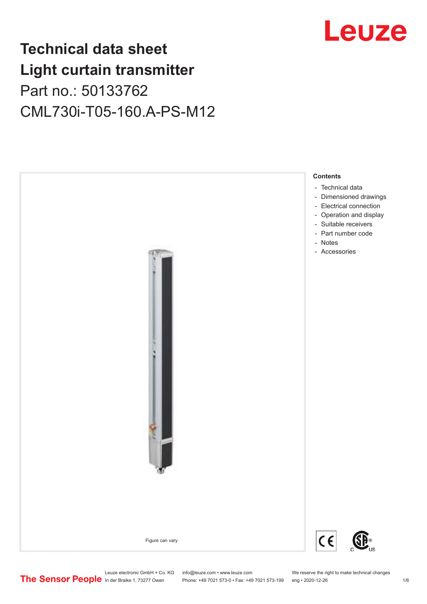# Leuze

## **Technical data sheet Light curtain transmitter** Part no.: 50133762 CML730i-T05-160.A-PS-M12



Leuze electronic GmbH + Co. KG info@leuze.com • www.leuze.com We reserve the right to make technical changes<br>
The Sensor People in der Braike 1, 73277 Owen Phone: +49 7021 573-0 • Fax: +49 7021 573-199 eng • 2020-12-26

Phone: +49 7021 573-0 • Fax: +49 7021 573-199 eng • 2020-12-26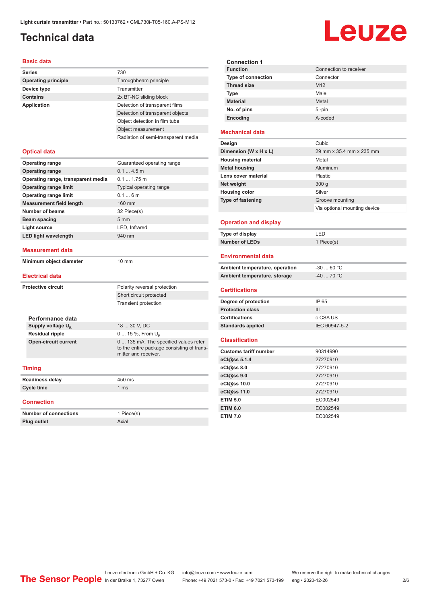## <span id="page-1-0"></span>**Technical data**

#### **Basic data**

| Dasit uata                         |                                     |
|------------------------------------|-------------------------------------|
| <b>Series</b>                      | 730                                 |
| <b>Operating principle</b>         | Throughbeam principle               |
| Device type                        | Transmitter                         |
| <b>Contains</b>                    | 2x BT-NC sliding block              |
| <b>Application</b>                 | Detection of transparent films      |
|                                    | Detection of transparent objects    |
|                                    | Object detection in film tube       |
|                                    | Object measurement                  |
|                                    | Radiation of semi-transparent media |
| <b>Optical data</b>                |                                     |
| <b>Operating range</b>             | Guaranteed operating range          |
| <b>Operating range</b>             | 0.14.5m                             |
| Operating range, transparent media | $0.11.75$ m                         |
| <b>Operating range limit</b>       | <b>Typical operating range</b>      |
| <b>Operating range limit</b>       | 0.16m                               |
| <b>Measurement field length</b>    | 160 mm                              |
| Number of beams                    | 32 Piece(s)                         |
| Beam spacing                       | 5 <sub>mm</sub>                     |
| Light source                       | LED, Infrared                       |
| <b>LED light wavelength</b>        | 940 nm                              |
|                                    |                                     |

#### **Measurement data**

**Minimum object diameter** 10 mm

#### **Electrical data**

| <b>Protective circuit</b> |                               | Polarity reversal protection                                                                                |
|---------------------------|-------------------------------|-------------------------------------------------------------------------------------------------------------|
|                           |                               | Short circuit protected                                                                                     |
|                           |                               | <b>Transient protection</b>                                                                                 |
|                           |                               |                                                                                                             |
|                           | Performance data              |                                                                                                             |
|                           | Supply voltage U <sub>B</sub> | 18  30 V, DC                                                                                                |
|                           | <b>Residual ripple</b>        | 0  15 %, From $U_{\rm B}$                                                                                   |
|                           | <b>Open-circuit current</b>   | 0  135 mA, The specified values refer<br>to the entire package consisting of trans-<br>mitter and receiver. |
|                           |                               |                                                                                                             |
|                           | <b>Timing</b>                 |                                                                                                             |
|                           | <b>Readiness delay</b>        | 450 ms                                                                                                      |
| Cycle time                |                               | 1 <sub>ms</sub>                                                                                             |
|                           |                               |                                                                                                             |

#### **Connection**

| <b>Number of connections</b> | 1 Piece(s) |
|------------------------------|------------|
| <b>Plug outlet</b>           | Axial      |

| <b>Connection 1</b>       |                        |
|---------------------------|------------------------|
| <b>Function</b>           | Connection to receiver |
| <b>Type of connection</b> | Connector              |
| <b>Thread size</b>        | M <sub>12</sub>        |
| Type                      | Male                   |
| <b>Material</b>           | Metal                  |
| No. of pins               | $5 - pin$              |
| Encoding                  | A-coded                |

#### **Mechanical data**

| Design                   | Cubic                        |
|--------------------------|------------------------------|
| Dimension (W x H x L)    | 29 mm x 35.4 mm x 235 mm     |
| <b>Housing material</b>  | Metal                        |
| <b>Metal housing</b>     | Aluminum                     |
| Lens cover material      | Plastic                      |
| Net weight               | 300 <sub>g</sub>             |
| <b>Housing color</b>     | Silver                       |
| <b>Type of fastening</b> | Groove mounting              |
|                          | Via optional mounting device |
|                          |                              |

#### **Operation and display**

| Type of display | - FD       |
|-----------------|------------|
| Number of LEDs  | 1 Piece(s) |

#### **Environmental data**

| Ambient temperature, operation | -30  60 °C |
|--------------------------------|------------|
| Ambient temperature, storage   | -40  70 °C |

#### **Certifications**

| Degree of protection     | IP 65         |
|--------------------------|---------------|
| <b>Protection class</b>  | Ш             |
| <b>Certifications</b>    | c CSA US      |
| <b>Standards applied</b> | IEC 60947-5-2 |

#### **Classification**

| <b>Customs tariff number</b> | 90314990 |
|------------------------------|----------|
| eCl@ss 5.1.4                 | 27270910 |
| $eC/\omega$ ss 8.0           | 27270910 |
| eCl@ss 9.0                   | 27270910 |
| eCl@ss 10.0                  | 27270910 |
| eCl@ss 11.0                  | 27270910 |
| <b>ETIM 5.0</b>              | EC002549 |
| <b>ETIM 6.0</b>              | EC002549 |
| <b>ETIM 7.0</b>              | EC002549 |

# Leuze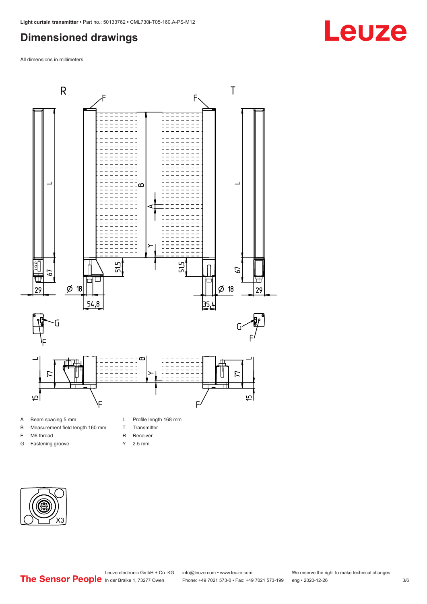## <span id="page-2-0"></span>**Dimensioned drawings**

All dimensions in millimeters



B Measurement field length 160 mm

F M6 thread G Fastening groove

- T Transmitter
- R Receiver
- Y 2.5 mm



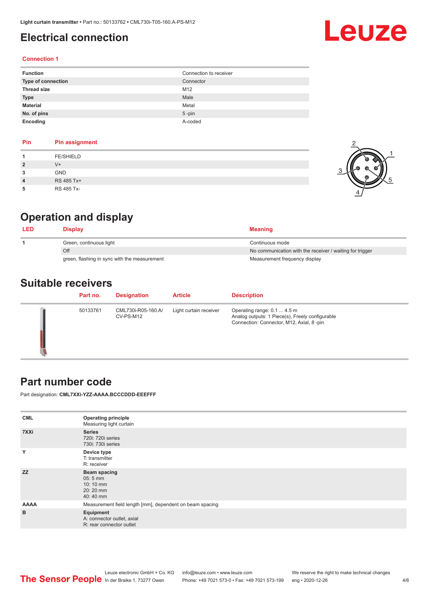## <span id="page-3-0"></span>**Electrical connection**

# Leuze

#### **Connection 1**

| <b>Function</b>    | Connection to receiver |
|--------------------|------------------------|
| Type of connection | Connector              |
| <b>Thread size</b> | M12                    |
| <b>Type</b>        | Male                   |
| <b>Material</b>    | Metal                  |
| No. of pins        | $5$ -pin               |
| Encoding           | A-coded                |

| Pin            | Pin assignment   |
|----------------|------------------|
|                | <b>FE/SHIELD</b> |
| $\overline{2}$ | $V +$            |
| 3              | <b>GND</b>       |
| 4              | RS 485 Tx+       |
|                | RS 485 Tx-       |



## **Operation and display**

| LED | Displav                                      | <b>Meaning</b>                                           |
|-----|----------------------------------------------|----------------------------------------------------------|
|     | Green, continuous light                      | Continuous mode                                          |
|     | Off                                          | No communication with the receiver / waiting for trigger |
|     | green, flashing in sync with the measurement | Measurement frequency display                            |

## **Suitable receivers**

| Part no. | <b>Designation</b>              | <b>Article</b>         | <b>Description</b>                                                                                                         |
|----------|---------------------------------|------------------------|----------------------------------------------------------------------------------------------------------------------------|
| 50133761 | CML730i-R05-160.A/<br>CV-PS-M12 | Light curtain receiver | Operating range: 0.1  4.5 m<br>Analog outputs: 1 Piece(s), Freely configurable<br>Connection: Connector, M12, Axial, 8-pin |

### **Part number code**

Part designation: **CML7XXi-YZZ-AAAA.BCCCDDD-EEEFFF**

| <b>CML</b>  | <b>Operating principle</b><br>Measuring light curtain               |
|-------------|---------------------------------------------------------------------|
| 7XXi        | <b>Series</b><br>720i: 720i series<br>730i: 730i series             |
| Y           | Device type<br>T: transmitter<br>R: receiver                        |
| <b>ZZ</b>   | Beam spacing<br>$05:5$ mm<br>10:10 mm<br>20:20 mm<br>40:40 mm       |
| <b>AAAA</b> | Measurement field length [mm], dependent on beam spacing            |
| B           | Equipment<br>A: connector outlet, axial<br>R: rear connector outlet |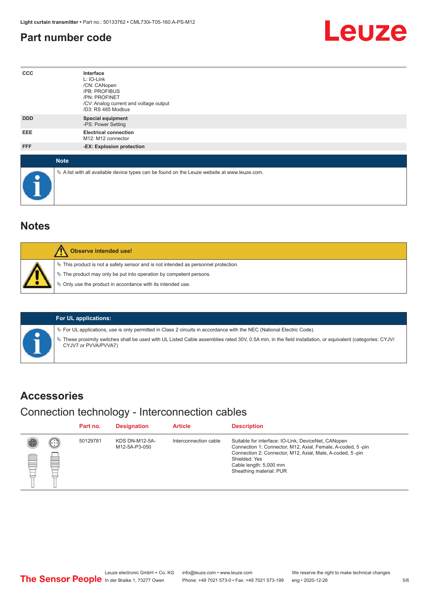## <span id="page-4-0"></span>**Part number code**



| $_{\rm ccc}$ | Interface<br>L: IO-Link<br>/CN: CANopen<br>/PB: PROFIBUS<br>/PN: PROFINET<br>/CV: Analog current and voltage output<br>/D3: RS 485 Modbus |  |  |  |  |
|--------------|-------------------------------------------------------------------------------------------------------------------------------------------|--|--|--|--|
| <b>DDD</b>   | <b>Special equipment</b><br>-PS: Power Setting                                                                                            |  |  |  |  |
| EEE          | <b>Electrical connection</b><br>M12: M12 connector                                                                                        |  |  |  |  |
| FFF          | -EX: Explosion protection                                                                                                                 |  |  |  |  |
| <b>Note</b>  |                                                                                                                                           |  |  |  |  |
| $\bullet$    | $\&$ A list with all available device types can be found on the Leuze website at www.leuze.com.                                           |  |  |  |  |

## **Notes**

| Observe intended use!                                                                                                                                                                                                      |
|----------------------------------------------------------------------------------------------------------------------------------------------------------------------------------------------------------------------------|
| $\%$ This product is not a safety sensor and is not intended as personnel protection.<br>§ The product may only be put into operation by competent persons.<br>§ Only use the product in accordance with its intended use. |

#### **For UL applications:**

ª For UL applications, use is only permitted in Class 2 circuits in accordance with the NEC (National Electric Code).

ª These proximity switches shall be used with UL Listed Cable assemblies rated 30V, 0.5A min, in the field installation, or equivalent (categories: CYJV/ CYJV7 or PVVA/PVVA7)

### **Accessories**

### Connection technology - Interconnection cables

|   |                            | Part no. | <b>Designation</b>                     | <b>Article</b>        | <b>Description</b>                                                                                                                                                                                                                                    |
|---|----------------------------|----------|----------------------------------------|-----------------------|-------------------------------------------------------------------------------------------------------------------------------------------------------------------------------------------------------------------------------------------------------|
| ₿ | (. : :<br><b>From</b><br>œ | 50129781 | <b>KDS DN-M12-5A-</b><br>M12-5A-P3-050 | Interconnection cable | Suitable for interface: IO-Link, DeviceNet, CANopen<br>Connection 1: Connector, M12, Axial, Female, A-coded, 5-pin<br>Connection 2: Connector, M12, Axial, Male, A-coded, 5-pin<br>Shielded: Yes<br>Cable length: 5,000 mm<br>Sheathing material: PUR |